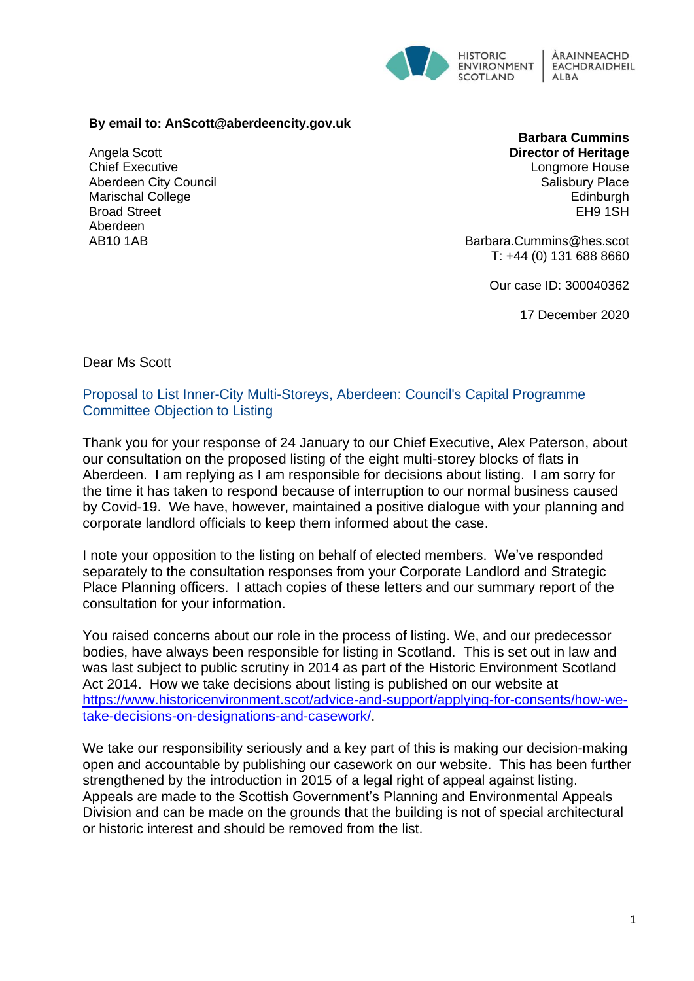

## **By email to: AnScott@aberdeencity.gov.uk**

Angela Scott Chief Executive Aberdeen City Council Marischal College Broad Street Aberdeen AB10 1AB

**Barbara Cummins Director of Heritage** Longmore House Salisbury Place **Edinburgh** EH9 1SH

Barbara.Cummins@hes.scot T: +44 (0) 131 688 8660

Our case ID: 300040362

17 December 2020

Dear Ms Scott

Proposal to List Inner-City Multi-Storeys, Aberdeen: Council's Capital Programme Committee Objection to Listing

Thank you for your response of 24 January to our Chief Executive, Alex Paterson, about our consultation on the proposed listing of the eight multi-storey blocks of flats in Aberdeen. I am replying as I am responsible for decisions about listing. I am sorry for the time it has taken to respond because of interruption to our normal business caused by Covid-19. We have, however, maintained a positive dialogue with your planning and corporate landlord officials to keep them informed about the case.

I note your opposition to the listing on behalf of elected members. We've responded separately to the consultation responses from your Corporate Landlord and Strategic Place Planning officers. I attach copies of these letters and our summary report of the consultation for your information.

You raised concerns about our role in the process of listing. We, and our predecessor bodies, have always been responsible for listing in Scotland. This is set out in law and was last subject to public scrutiny in 2014 as part of the Historic Environment Scotland Act 2014. How we take decisions about listing is published on our website at [https://www.historicenvironment.scot/advice-and-support/applying-for-consents/how-we](https://www.historicenvironment.scot/advice-and-support/applying-for-consents/how-we-take-decisions-on-designations-and-casework/)[take-decisions-on-designations-and-casework/.](https://www.historicenvironment.scot/advice-and-support/applying-for-consents/how-we-take-decisions-on-designations-and-casework/)

We take our responsibility seriously and a key part of this is making our decision-making open and accountable by publishing our casework on our website. This has been further strengthened by the introduction in 2015 of a legal right of appeal against listing. Appeals are made to the Scottish Government's Planning and Environmental Appeals Division and can be made on the grounds that the building is not of special architectural or historic interest and should be removed from the list.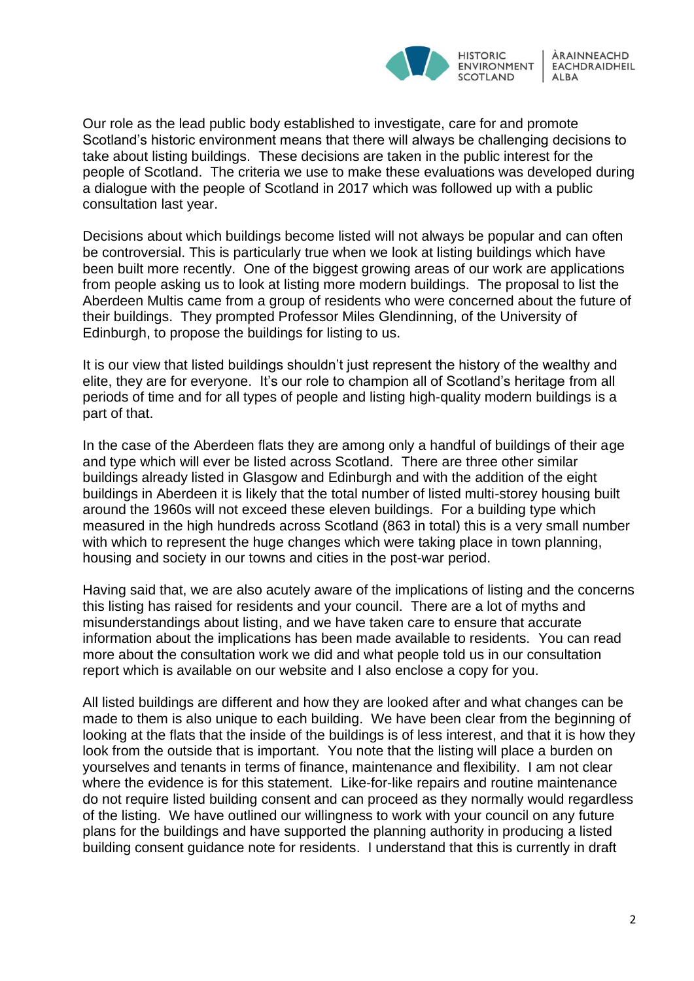

Our role as the lead public body established to investigate, care for and promote Scotland's historic environment means that there will always be challenging decisions to take about listing buildings. These decisions are taken in the public interest for the people of Scotland. The criteria we use to make these evaluations was developed during a dialogue with the people of Scotland in 2017 which was followed up with a public consultation last year.

Decisions about which buildings become listed will not always be popular and can often be controversial. This is particularly true when we look at listing buildings which have been built more recently. One of the biggest growing areas of our work are applications from people asking us to look at listing more modern buildings. The proposal to list the Aberdeen Multis came from a group of residents who were concerned about the future of their buildings. They prompted Professor Miles Glendinning, of the University of Edinburgh, to propose the buildings for listing to us.

It is our view that listed buildings shouldn't just represent the history of the wealthy and elite, they are for everyone. It's our role to champion all of Scotland's heritage from all periods of time and for all types of people and listing high-quality modern buildings is a part of that.

In the case of the Aberdeen flats they are among only a handful of buildings of their age and type which will ever be listed across Scotland. There are three other similar buildings already listed in Glasgow and Edinburgh and with the addition of the eight buildings in Aberdeen it is likely that the total number of listed multi-storey housing built around the 1960s will not exceed these eleven buildings. For a building type which measured in the high hundreds across Scotland (863 in total) this is a very small number with which to represent the huge changes which were taking place in town planning, housing and society in our towns and cities in the post-war period.

Having said that, we are also acutely aware of the implications of listing and the concerns this listing has raised for residents and your council. There are a lot of myths and misunderstandings about listing, and we have taken care to ensure that accurate information about the implications has been made available to residents. You can read more about the consultation work we did and what people told us in our consultation report which is available on our website and I also enclose a copy for you.

All listed buildings are different and how they are looked after and what changes can be made to them is also unique to each building. We have been clear from the beginning of looking at the flats that the inside of the buildings is of less interest, and that it is how they look from the outside that is important. You note that the listing will place a burden on yourselves and tenants in terms of finance, maintenance and flexibility. I am not clear where the evidence is for this statement. Like-for-like repairs and routine maintenance do not require listed building consent and can proceed as they normally would regardless of the listing. We have outlined our willingness to work with your council on any future plans for the buildings and have supported the planning authority in producing a listed building consent guidance note for residents. I understand that this is currently in draft